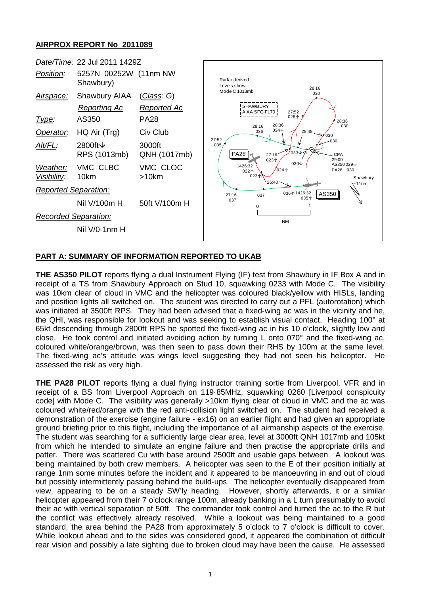## **AIRPROX REPORT No 2011089**



## **PART A: SUMMARY OF INFORMATION REPORTED TO UKAB**

**THE AS350 PILOT** reports flying a dual Instrument Flying (IF) test from Shawbury in IF Box A and in receipt of a TS from Shawbury Approach on Stud 10, squawking 0233 with Mode C. The visibility was 10km clear of cloud in VMC and the helicopter was coloured black/yellow with HISLs, landing and position lights all switched on. The student was directed to carry out a PFL (autorotation) which was initiated at 3500ft RPS. They had been advised that a fixed-wing ac was in the vicinity and he, the QHI, was responsible for lookout and was seeking to establish visual contact. Heading 100° at 65kt descending through 2800ft RPS he spotted the fixed-wing ac in his 10 o'clock, slightly low and close. He took control and initiated avoiding action by turning L onto 070° and the fixed-wing ac, coloured white/orange/brown, was then seen to pass down their RHS by 100m at the same level. The fixed-wing ac's attitude was wings level suggesting they had not seen his helicopter. He assessed the risk as very high.

**THE PA28 PILOT** reports flying a dual flying instructor training sortie from Liverpool, VFR and in receipt of a BS from Liverpool Approach on 119·85MHz, squawking 0260 [Liverpool conspicuity code] with Mode C. The visibility was generally >10km flying clear of cloud in VMC and the ac was coloured white/red/orange with the red anti-collision light switched on. The student had received a demonstration of the exercise (engine failure - ex16) on an earlier flight and had given an appropriate ground briefing prior to this flight, including the importance of all airmanship aspects of the exercise. The student was searching for a sufficiently large clear area, level at 3000ft QNH 1017mb and 105kt from which he intended to simulate an engine failure and then practise the appropriate drills and patter. There was scattered Cu with base around 2500ft and usable gaps between. A lookout was being maintained by both crew members. A helicopter was seen to the E of their position initially at range 1nm some minutes before the incident and it appeared to be manoeuvring in and out of cloud but possibly intermittently passing behind the build-ups. The helicopter eventually disappeared from view, appearing to be on a steady SW'ly heading. However, shortly afterwards, it or a similar helicopter appeared from their 7 o'clock range 100m, already banking in a L turn presumably to avoid their ac with vertical separation of 50ft. The commander took control and turned the ac to the R but the conflict was effectively already resolved. While a lookout was being maintained to a good standard, the area behind the PA28 from approximately 5 o'clock to 7 o'clock is difficult to cover. While lookout ahead and to the sides was considered good, it appeared the combination of difficult rear vision and possibly a late sighting due to broken cloud may have been the cause. He assessed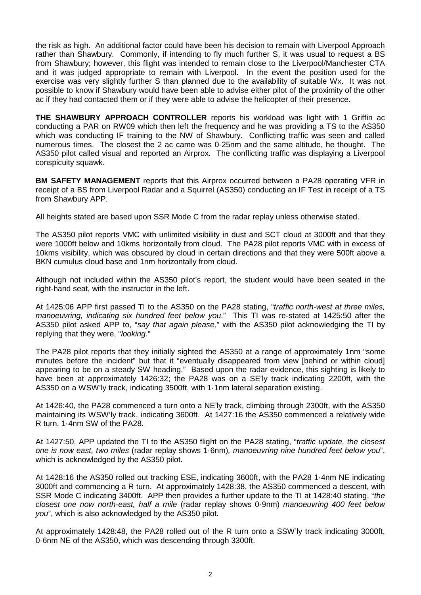the risk as high. An additional factor could have been his decision to remain with Liverpool Approach rather than Shawbury. Commonly, if intending to fly much further S, it was usual to request a BS from Shawbury; however, this flight was intended to remain close to the Liverpool/Manchester CTA and it was judged appropriate to remain with Liverpool. In the event the position used for the exercise was very slightly further S than planned due to the availability of suitable Wx. It was not possible to know if Shawbury would have been able to advise either pilot of the proximity of the other ac if they had contacted them or if they were able to advise the helicopter of their presence.

**THE SHAWBURY APPROACH CONTROLLER** reports his workload was light with 1 Griffin ac conducting a PAR on RW09 which then left the frequency and he was providing a TS to the AS350 which was conducting IF training to the NW of Shawbury. Conflicting traffic was seen and called numerous times. The closest the 2 ac came was 0·25nm and the same altitude, he thought. The AS350 pilot called visual and reported an Airprox. The conflicting traffic was displaying a Liverpool conspicuity squawk.

**BM SAFETY MANAGEMENT** reports that this Airprox occurred between a PA28 operating VFR in receipt of a BS from Liverpool Radar and a Squirrel (AS350) conducting an IF Test in receipt of a TS from Shawbury APP.

All heights stated are based upon SSR Mode C from the radar replay unless otherwise stated.

The AS350 pilot reports VMC with unlimited visibility in dust and SCT cloud at 3000ft and that they were 1000ft below and 10kms horizontally from cloud. The PA28 pilot reports VMC with in excess of 10kms visibility, which was obscured by cloud in certain directions and that they were 500ft above a BKN cumulus cloud base and 1nm horizontally from cloud.

Although not included within the AS350 pilot's report, the student would have been seated in the right-hand seat, with the instructor in the left.

At 1425:06 APP first passed TI to the AS350 on the PA28 stating, "*traffic north-west at three miles, manoeuvring, indicating six hundred feet below you*." This TI was re-stated at 1425:50 after the AS350 pilot asked APP to, "*say that again please,*" with the AS350 pilot acknowledging the TI by replying that they were, "*looking*."

The PA28 pilot reports that they initially sighted the AS350 at a range of approximately 1nm "some minutes before the incident" but that it "eventually disappeared from view [behind or within cloud] appearing to be on a steady SW heading." Based upon the radar evidence, this sighting is likely to have been at approximately 1426:32; the PA28 was on a SE'ly track indicating 2200ft, with the AS350 on a WSW'ly track, indicating 3500ft, with 1·1nm lateral separation existing.

At 1426:40, the PA28 commenced a turn onto a NE'ly track, climbing through 2300ft, with the AS350 maintaining its WSW'ly track, indicating 3600ft. At 1427:16 the AS350 commenced a relatively wide R turn, 1·4nm SW of the PA28.

At 1427:50, APP updated the TI to the AS350 flight on the PA28 stating, "*traffic update, the closest one is now east, two miles* (radar replay shows 1·6nm)*, manoeuvring nine hundred feet below you*", which is acknowledged by the AS350 pilot.

At 1428:16 the AS350 rolled out tracking ESE, indicating 3600ft, with the PA28 1·4nm NE indicating 3000ft and commencing a R turn. At approximately 1428:38, the AS350 commenced a descent, with SSR Mode C indicating 3400ft. APP then provides a further update to the TI at 1428:40 stating, "*the closest one now north-east, half a mile* (radar replay shows 0·9nm) *manoeuvring 400 feet below you*", which is also acknowledged by the AS350 pilot.

At approximately 1428:48, the PA28 rolled out of the R turn onto a SSW'ly track indicating 3000ft, 0·6nm NE of the AS350, which was descending through 3300ft.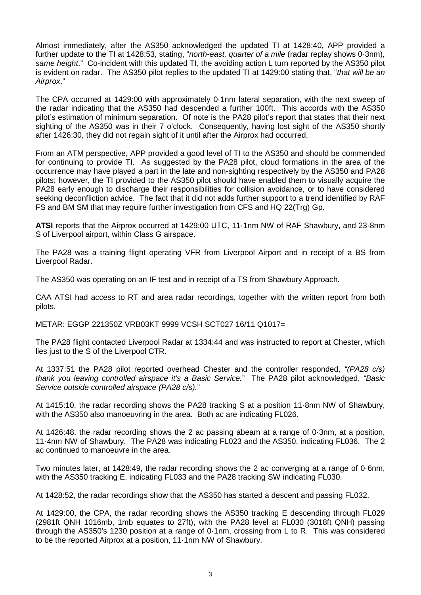Almost immediately, after the AS350 acknowledged the updated TI at 1428:40, APP provided a further update to the TI at 1428:53, stating, "*north-east, quarter of a mile* (radar replay shows 0·3nm)*, same height*." Co-incident with this updated TI, the avoiding action L turn reported by the AS350 pilot is evident on radar. The AS350 pilot replies to the updated TI at 1429:00 stating that, "*that will be an Airprox*."

The CPA occurred at 1429:00 with approximately 0·1nm lateral separation, with the next sweep of the radar indicating that the AS350 had descended a further 100ft. This accords with the AS350 pilot's estimation of minimum separation. Of note is the PA28 pilot's report that states that their next sighting of the AS350 was in their 7 o'clock. Consequently, having lost sight of the AS350 shortly after 1426:30, they did not regain sight of it until after the Airprox had occurred.

From an ATM perspective, APP provided a good level of TI to the AS350 and should be commended for continuing to provide TI. As suggested by the PA28 pilot, cloud formations in the area of the occurrence may have played a part in the late and non-sighting respectively by the AS350 and PA28 pilots; however, the TI provided to the AS350 pilot should have enabled them to visually acquire the PA28 early enough to discharge their responsibilities for collision avoidance, or to have considered seeking deconfliction advice. The fact that it did not adds further support to a trend identified by RAF FS and BM SM that may require further investigation from CFS and HQ 22(Trg) Gp.

**ATSI** reports that the Airprox occurred at 1429:00 UTC, 11·1nm NW of RAF Shawbury, and 23·8nm S of Liverpool airport, within Class G airspace.

The PA28 was a training flight operating VFR from Liverpool Airport and in receipt of a BS from Liverpool Radar.

The AS350 was operating on an IF test and in receipt of a TS from Shawbury Approach.

CAA ATSI had access to RT and area radar recordings, together with the written report from both pilots.

METAR: EGGP 221350Z VRB03KT 9999 VCSH SCT027 16/11 Q1017=

The PA28 flight contacted Liverpool Radar at 1334:44 and was instructed to report at Chester, which lies just to the S of the Liverpool CTR.

At 1337:51 the PA28 pilot reported overhead Chester and the controller responded, *"(PA28 c/s) thank you leaving controlled airspace it's a Basic Service.*" The PA28 pilot acknowledged, *"Basic Service outside controlled airspace (PA28 c/s).*"

At 1415:10, the radar recording shows the PA28 tracking S at a position 11·8nm NW of Shawbury, with the AS350 also manoeuvring in the area. Both ac are indicating FL026.

At 1426:48, the radar recording shows the 2 ac passing abeam at a range of 0·3nm, at a position, 11·4nm NW of Shawbury. The PA28 was indicating FL023 and the AS350, indicating FL036. The 2 ac continued to manoeuvre in the area.

Two minutes later, at 1428:49, the radar recording shows the 2 ac converging at a range of 0·6nm, with the AS350 tracking E, indicating FL033 and the PA28 tracking SW indicating FL030.

At 1428:52, the radar recordings show that the AS350 has started a descent and passing FL032.

At 1429:00, the CPA, the radar recording shows the AS350 tracking E descending through FL029 (2981ft QNH 1016mb, 1mb equates to 27ft), with the PA28 level at FL030 (3018ft QNH) passing through the AS350's 1230 position at a range of 0·1nm, crossing from L to R. This was considered to be the reported Airprox at a position, 11·1nm NW of Shawbury.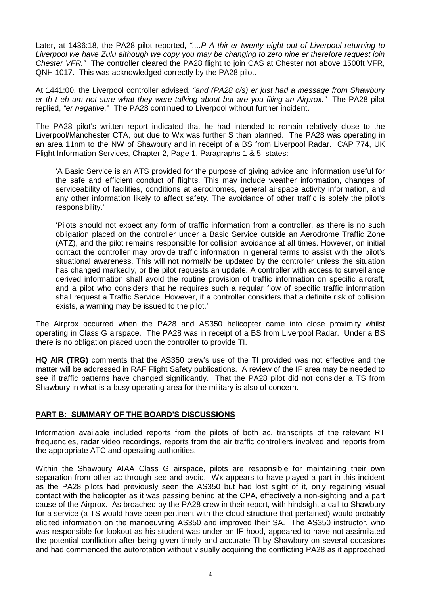Later, at 1436:18, the PA28 pilot reported, *"....P A thir-er twenty eight out of Liverpool returning to Liverpool we have Zulu although we copy you may be changing to zero nine er therefore request join Chester VFR."* The controller cleared the PA28 flight to join CAS at Chester not above 1500ft VFR, QNH 1017. This was acknowledged correctly by the PA28 pilot.

At 1441:00, the Liverpool controller advised, *"and (PA28 c/s) er just had a message from Shawbury er th t eh um not sure what they were talking about but are you filing an Airprox."* The PA28 pilot replied, *"er negative.*" The PA28 continued to Liverpool without further incident.

The PA28 pilot's written report indicated that he had intended to remain relatively close to the Liverpool/Manchester CTA, but due to Wx was further S than planned. The PA28 was operating in an area 11nm to the NW of Shawbury and in receipt of a BS from Liverpool Radar. CAP 774, UK Flight Information Services, Chapter 2, Page 1. Paragraphs 1 & 5, states:

'A Basic Service is an ATS provided for the purpose of giving advice and information useful for the safe and efficient conduct of flights. This may include weather information, changes of serviceability of facilities, conditions at aerodromes, general airspace activity information, and any other information likely to affect safety. The avoidance of other traffic is solely the pilot's responsibility.'

'Pilots should not expect any form of traffic information from a controller, as there is no such obligation placed on the controller under a Basic Service outside an Aerodrome Traffic Zone (ATZ), and the pilot remains responsible for collision avoidance at all times. However, on initial contact the controller may provide traffic information in general terms to assist with the pilot's situational awareness. This will not normally be updated by the controller unless the situation has changed markedly, or the pilot requests an update. A controller with access to surveillance derived information shall avoid the routine provision of traffic information on specific aircraft, and a pilot who considers that he requires such a regular flow of specific traffic information shall request a Traffic Service. However, if a controller considers that a definite risk of collision exists, a warning may be issued to the pilot.'

The Airprox occurred when the PA28 and AS350 helicopter came into close proximity whilst operating in Class G airspace. The PA28 was in receipt of a BS from Liverpool Radar. Under a BS there is no obligation placed upon the controller to provide TI.

**HQ AIR (TRG)** comments that the AS350 crew's use of the TI provided was not effective and the matter will be addressed in RAF Flight Safety publications. A review of the IF area may be needed to see if traffic patterns have changed significantly. That the PA28 pilot did not consider a TS from Shawbury in what is a busy operating area for the military is also of concern.

## **PART B: SUMMARY OF THE BOARD'S DISCUSSIONS**

Information available included reports from the pilots of both ac, transcripts of the relevant RT frequencies, radar video recordings, reports from the air traffic controllers involved and reports from the appropriate ATC and operating authorities.

Within the Shawbury AIAA Class G airspace, pilots are responsible for maintaining their own separation from other ac through see and avoid. Wx appears to have played a part in this incident as the PA28 pilots had previously seen the AS350 but had lost sight of it, only regaining visual contact with the helicopter as it was passing behind at the CPA, effectively a non-sighting and a part cause of the Airprox. As broached by the PA28 crew in their report, with hindsight a call to Shawbury for a service (a TS would have been pertinent with the cloud structure that pertained) would probably elicited information on the manoeuvring AS350 and improved their SA. The AS350 instructor, who was responsible for lookout as his student was under an IF hood, appeared to have not assimilated the potential confliction after being given timely and accurate TI by Shawbury on several occasions and had commenced the autorotation without visually acquiring the conflicting PA28 as it approached